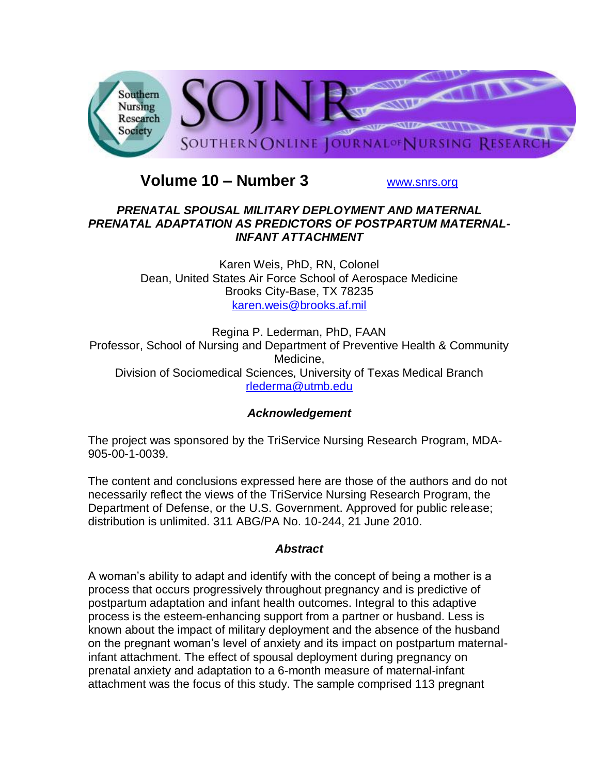

# **Volume 10 – Number 3** [www.snrs.org](http://www.snrs.org/)

## *PRENATAL SPOUSAL MILITARY DEPLOYMENT AND MATERNAL PRENATAL ADAPTATION AS PREDICTORS OF POSTPARTUM MATERNAL-INFANT ATTACHMENT*

Karen Weis, PhD, RN, Colonel Dean, United States Air Force School of Aerospace Medicine Brooks City-Base, TX 78235 [karen.weis@brooks.af.mil](mailto:karen.weis@brooks.af.mil)

Regina P. Lederman, PhD, FAAN Professor, School of Nursing and Department of Preventive Health & Community Medicine, Division of Sociomedical Sciences, University of Texas Medical Branch [rlederma@utmb.edu](mailto:rlederma@utmb.edu)

## *Acknowledgement*

The project was sponsored by the TriService Nursing Research Program, MDA-905-00-1-0039.

The content and conclusions expressed here are those of the authors and do not necessarily reflect the views of the TriService Nursing Research Program, the Department of Defense, or the U.S. Government. Approved for public release; distribution is unlimited. 311 ABG/PA No. 10-244, 21 June 2010.

### *Abstract*

A woman's ability to adapt and identify with the concept of being a mother is a process that occurs progressively throughout pregnancy and is predictive of postpartum adaptation and infant health outcomes. Integral to this adaptive process is the esteem-enhancing support from a partner or husband. Less is known about the impact of military deployment and the absence of the husband on the pregnant woman's level of anxiety and its impact on postpartum maternalinfant attachment. The effect of spousal deployment during pregnancy on prenatal anxiety and adaptation to a 6-month measure of maternal-infant attachment was the focus of this study. The sample comprised 113 pregnant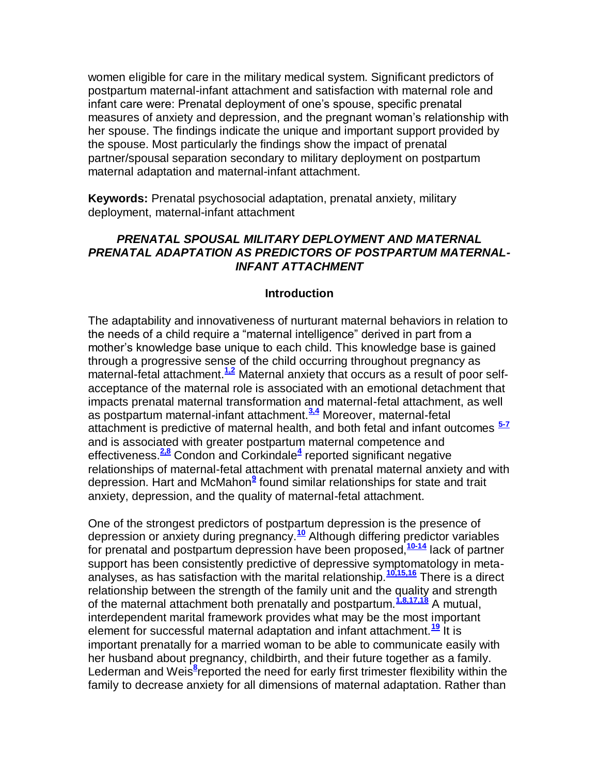women eligible for care in the military medical system. Significant predictors of postpartum maternal-infant attachment and satisfaction with maternal role and infant care were: Prenatal deployment of one's spouse, specific prenatal measures of anxiety and depression, and the pregnant woman's relationship with her spouse. The findings indicate the unique and important support provided by the spouse. Most particularly the findings show the impact of prenatal partner/spousal separation secondary to military deployment on postpartum maternal adaptation and maternal-infant attachment.

**Keywords:** Prenatal psychosocial adaptation, prenatal anxiety, military deployment, maternal-infant attachment

## *PRENATAL SPOUSAL MILITARY DEPLOYMENT AND MATERNAL PRENATAL ADAPTATION AS PREDICTORS OF POSTPARTUM MATERNAL-INFANT ATTACHMENT*

#### **Introduction**

The adaptability and innovativeness of nurturant maternal behaviors in relation to the needs of a child require a "maternal intelligence" derived in part from a mother's knowledge base unique to each child. This knowledge base is gained through a progressive sense of the child occurring throughout pregnancy as maternal-fetal attachment.<sup>[1,2](http://snrs.org/publications/SOJNR_articles2/n)</sup> Maternal anxiety that occurs as a result of poor selfacceptance of the maternal role is associated with an emotional detachment that impacts prenatal maternal transformation and maternal-fetal attachment, as well as postpartum maternal-infant attachment.**[3,4](http://snrs.org/publications/SOJNR_articles2/n)** Moreover, maternal-fetal attachment is predictive of maternal health, and both fetal and infant outcomes **[5-7](http://snrs.org/publications/SOJNR_articles2/n)** and is associated with greater postpartum maternal competence and effectiveness.**[2,8](http://snrs.org/publications/SOJNR_articles2/n)** Condon and Corkindale**[4](http://snrs.org/publications/SOJNR_articles2/n)** reported significant negative relationships of maternal-fetal attachment with prenatal maternal anxiety and with depression. Hart and McMahon**[9](http://snrs.org/publications/SOJNR_articles2/n)** found similar relationships for state and trait anxiety, depression, and the quality of maternal-fetal attachment.

One of the strongest predictors of postpartum depression is the presence of depression or anxiety during pregnancy.**[10](http://snrs.org/publications/SOJNR_articles2/n)** Although differing predictor variables for prenatal and postpartum depression have been proposed,**[10-14](http://snrs.org/publications/SOJNR_articles2/n)** lack of partner support has been consistently predictive of depressive symptomatology in metaanalyses, as has satisfaction with the marital relationship.**[10,15,16](http://snrs.org/publications/SOJNR_articles2/n)** There is a direct relationship between the strength of the family unit and the quality and strength of the maternal attachment both prenatally and postpartum.**[1,8,17,18](http://snrs.org/publications/SOJNR_articles2/n)** A mutual, interdependent marital framework provides what may be the most important element for successful maternal adaptation and infant attachment.**[19](http://snrs.org/publications/SOJNR_articles2/n)** It is important prenatally for a married woman to be able to communicate easily with her husband about pregnancy, childbirth, and their future together as a family. Lederman and Weis<sup>[8](http://snrs.org/publications/SOJNR_articles2/n)</sup>reported the need for early first trimester flexibility within the family to decrease anxiety for all dimensions of maternal adaptation. Rather than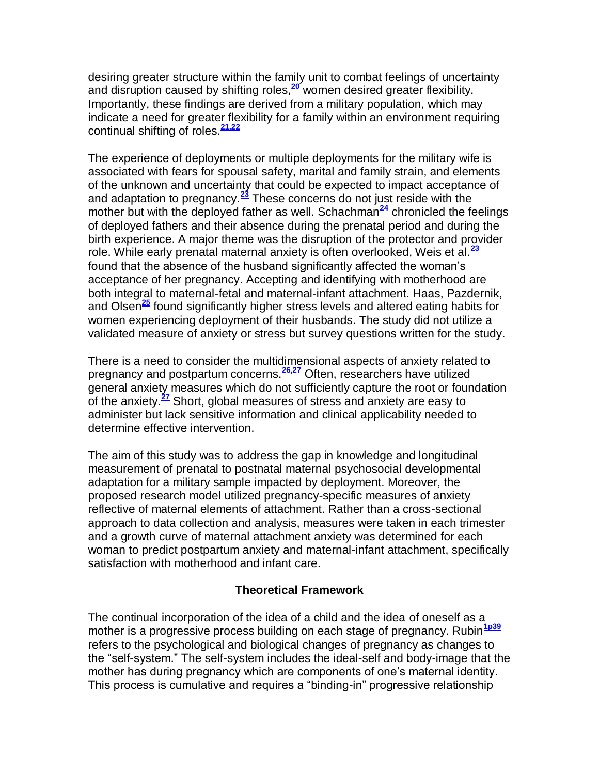desiring greater structure within the family unit to combat feelings of uncertainty and disruption caused by shifting roles,**[20](http://snrs.org/publications/SOJNR_articles2/n)** women desired greater flexibility. Importantly, these findings are derived from a military population, which may indicate a need for greater flexibility for a family within an environment requiring continual shifting of roles.**[21,22](http://snrs.org/publications/SOJNR_articles2/n)**

The experience of deployments or multiple deployments for the military wife is associated with fears for spousal safety, marital and family strain, and elements of the unknown and uncertainty that could be expected to impact acceptance of and adaptation to pregnancy.**[23](http://snrs.org/publications/SOJNR_articles2/n)** These concerns do not just reside with the mother but with the deployed father as well. Schachman<sup>[24](http://snrs.org/publications/SOJNR_articles2/n)</sup> chronicled the feelings of deployed fathers and their absence during the prenatal period and during the birth experience. A major theme was the disruption of the protector and provider role. While early prenatal maternal anxiety is often overlooked, Weis et al.**[23](http://snrs.org/publications/SOJNR_articles2/n)** found that the absence of the husband significantly affected the woman's acceptance of her pregnancy. Accepting and identifying with motherhood are both integral to maternal-fetal and maternal-infant attachment. Haas, Pazdernik, and Olsen**[25](http://snrs.org/publications/SOJNR_articles2/n)** found significantly higher stress levels and altered eating habits for women experiencing deployment of their husbands. The study did not utilize a validated measure of anxiety or stress but survey questions written for the study.

There is a need to consider the multidimensional aspects of anxiety related to pregnancy and postpartum concerns.**[26,27](http://snrs.org/publications/SOJNR_articles2/n)** Often, researchers have utilized general anxiety measures which do not sufficiently capture the root or foundation of the anxiety.**[27](http://snrs.org/publications/SOJNR_articles2/n)** Short, global measures of stress and anxiety are easy to administer but lack sensitive information and clinical applicability needed to determine effective intervention.

The aim of this study was to address the gap in knowledge and longitudinal measurement of prenatal to postnatal maternal psychosocial developmental adaptation for a military sample impacted by deployment. Moreover, the proposed research model utilized pregnancy-specific measures of anxiety reflective of maternal elements of attachment. Rather than a cross-sectional approach to data collection and analysis, measures were taken in each trimester and a growth curve of maternal attachment anxiety was determined for each woman to predict postpartum anxiety and maternal-infant attachment, specifically satisfaction with motherhood and infant care.

### **Theoretical Framework**

The continual incorporation of the idea of a child and the idea of oneself as a mother is a progressive process building on each stage of pregnancy. Rubin<sup>[1p39](http://snrs.org/publications/SOJNR_articles2/n)</sup> refers to the psychological and biological changes of pregnancy as changes to the "self-system." The self-system includes the ideal-self and body-image that the mother has during pregnancy which are components of one's maternal identity. This process is cumulative and requires a "binding-in" progressive relationship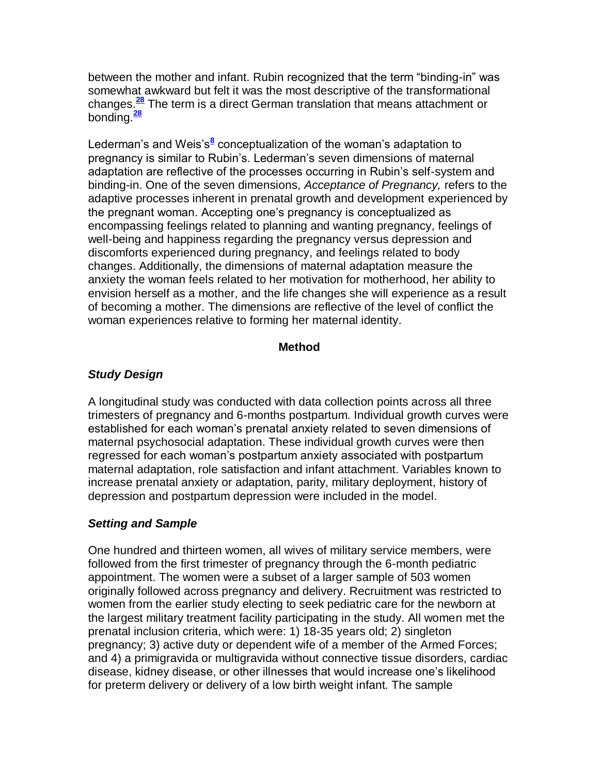between the mother and infant. Rubin recognized that the term "binding-in" was somewhat awkward but felt it was the most descriptive of the transformational changes.**[28](http://snrs.org/publications/SOJNR_articles2/n)** The term is a direct German translation that means attachment or bonding.**[28](http://snrs.org/publications/SOJNR_articles2/n)**

Lederman'[s](http://snrs.org/publications/SOJNR_articles2/n) and Weis's<sup>8</sup> conceptualization of the woman's adaptation to pregnancy is similar to Rubin's. Lederman's seven dimensions of maternal adaptation are reflective of the processes occurring in Rubin's self-system and binding-in. One of the seven dimensions, *Acceptance of Pregnancy,* refers to the adaptive processes inherent in prenatal growth and development experienced by the pregnant woman. Accepting one's pregnancy is conceptualized as encompassing feelings related to planning and wanting pregnancy, feelings of well-being and happiness regarding the pregnancy versus depression and discomforts experienced during pregnancy, and feelings related to body changes. Additionally, the dimensions of maternal adaptation measure the anxiety the woman feels related to her motivation for motherhood, her ability to envision herself as a mother, and the life changes she will experience as a result of becoming a mother. The dimensions are reflective of the level of conflict the woman experiences relative to forming her maternal identity.

### **Method**

## *Study Design*

A longitudinal study was conducted with data collection points across all three trimesters of pregnancy and 6-months postpartum. Individual growth curves were established for each woman's prenatal anxiety related to seven dimensions of maternal psychosocial adaptation. These individual growth curves were then regressed for each woman's postpartum anxiety associated with postpartum maternal adaptation, role satisfaction and infant attachment. Variables known to increase prenatal anxiety or adaptation, parity, military deployment, history of depression and postpartum depression were included in the model.

## *Setting and Sample*

One hundred and thirteen women, all wives of military service members, were followed from the first trimester of pregnancy through the 6-month pediatric appointment. The women were a subset of a larger sample of 503 women originally followed across pregnancy and delivery. Recruitment was restricted to women from the earlier study electing to seek pediatric care for the newborn at the largest military treatment facility participating in the study. All women met the prenatal inclusion criteria, which were: 1) 18-35 years old; 2) singleton pregnancy; 3) active duty or dependent wife of a member of the Armed Forces; and 4) a primigravida or multigravida without connective tissue disorders, cardiac disease, kidney disease, or other illnesses that would increase one's likelihood for preterm delivery or delivery of a low birth weight infant. The sample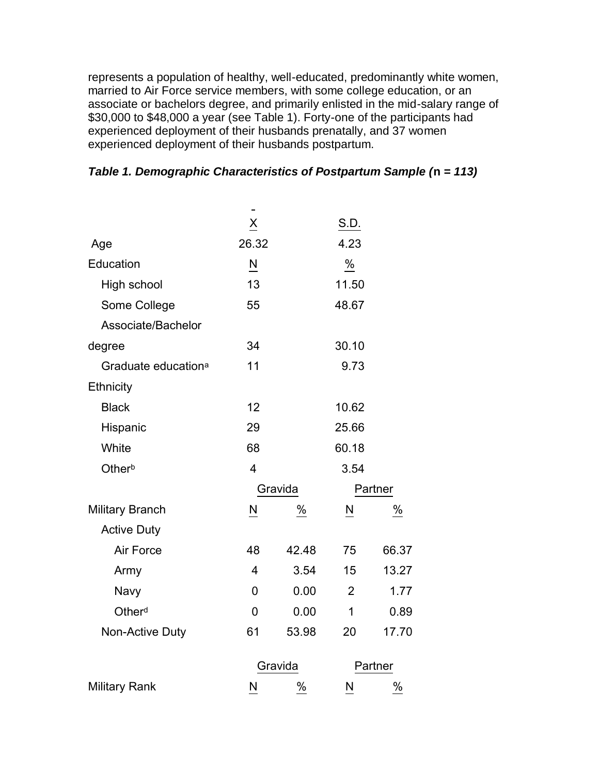represents a population of healthy, well-educated, predominantly white women, married to Air Force service members, with some college education, or an associate or bachelors degree, and primarily enlisted in the mid-salary range of \$30,000 to \$48,000 a year (see Table 1). Forty-one of the participants had experienced deployment of their husbands prenatally, and 37 women experienced deployment of their husbands postpartum.

|                                 | $\underline{\mathsf{X}}$ |       | S.D.           |       |  |
|---------------------------------|--------------------------|-------|----------------|-------|--|
| Age                             | 26.32                    |       | 4.23           |       |  |
| Education                       | N                        |       | $\%$           |       |  |
| High school                     | 13                       |       | 11.50          |       |  |
| Some College                    | 55                       |       | 48.67          |       |  |
| Associate/Bachelor              |                          |       |                |       |  |
| degree                          | 34                       |       | 30.10          |       |  |
| Graduate education <sup>a</sup> | 11                       |       | 9.73           |       |  |
| Ethnicity                       |                          |       |                |       |  |
| <b>Black</b>                    | 12                       |       | 10.62          |       |  |
| Hispanic                        | 29                       |       | 25.66          |       |  |
| White                           | 68                       |       | 60.18          |       |  |
| Otherb                          | $\overline{4}$           |       | 3.54           |       |  |
|                                 | Gravida                  |       | Partner        |       |  |
| <b>Military Branch</b>          | N                        | $\%$  | N              | $\%$  |  |
| <b>Active Duty</b>              |                          |       |                |       |  |
| Air Force                       | 48                       | 42.48 | 75             | 66.37 |  |
| Army                            | $\overline{4}$           | 3.54  | 15             | 13.27 |  |
| Navy                            | 0                        | 0.00  | $\overline{2}$ | 1.77  |  |
| Otherd                          | 0                        | 0.00  | 1              | 0.89  |  |
| Non-Active Duty                 | 61                       | 53.98 | 20             | 17.70 |  |
|                                 | Gravida                  |       | Partner        |       |  |
| <b>Military Rank</b>            | N                        | $\%$  | N              | %     |  |

## *Table 1. Demographic Characteristics of Postpartum Sample (***n** *= 113)*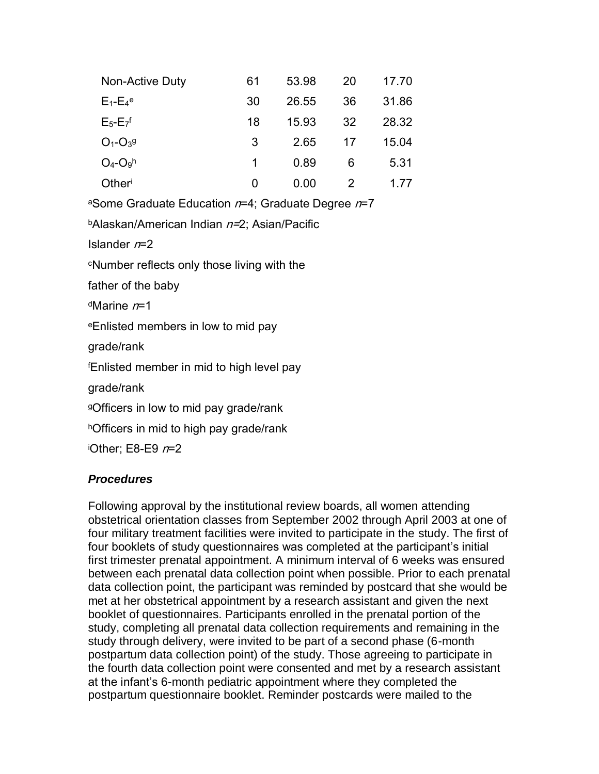| Non-Active Duty            | 61 | 53.98 | 20 | 17.70 |
|----------------------------|----|-------|----|-------|
| $E_1 - E_4$ <sup>e</sup>   | 30 | 26.55 | 36 | 31.86 |
| $E_5-E_7$ <sup>f</sup>     | 18 | 15.93 | 32 | 28.32 |
| $O_1 - O_3$ <sup>g</sup>   | 3  | 2.65  | 17 | 15.04 |
| $O_4$ - $O_9$ <sup>h</sup> | 1  | 0.89  | 6  | 5.31  |
| Otheri                     | 0  | 0.00  | 2  | 1 77  |

aSome Graduate Education  $n=4$ ; Graduate Degree  $n=7$ 

**bAlaskan/American Indian n=2; Asian/Pacific** 

Islander  $n=2$ 

<sup>c</sup>Number reflects only those living with the

father of the baby

 $d$ Marine  $n=1$ 

<sup>e</sup>Enlisted members in low to mid pay

grade/rank

<sup>f</sup>Enlisted member in mid to high level pay

grade/rank

<sup>g</sup>Officers in low to mid pay grade/rank

hOfficers in mid to high pay grade/rank

iOther; E8-E9  $n=2$ 

### *Procedures*

Following approval by the institutional review boards, all women attending obstetrical orientation classes from September 2002 through April 2003 at one of four military treatment facilities were invited to participate in the study. The first of four booklets of study questionnaires was completed at the participant's initial first trimester prenatal appointment. A minimum interval of 6 weeks was ensured between each prenatal data collection point when possible. Prior to each prenatal data collection point, the participant was reminded by postcard that she would be met at her obstetrical appointment by a research assistant and given the next booklet of questionnaires. Participants enrolled in the prenatal portion of the study, completing all prenatal data collection requirements and remaining in the study through delivery, were invited to be part of a second phase (6-month postpartum data collection point) of the study. Those agreeing to participate in the fourth data collection point were consented and met by a research assistant at the infant's 6-month pediatric appointment where they completed the postpartum questionnaire booklet. Reminder postcards were mailed to the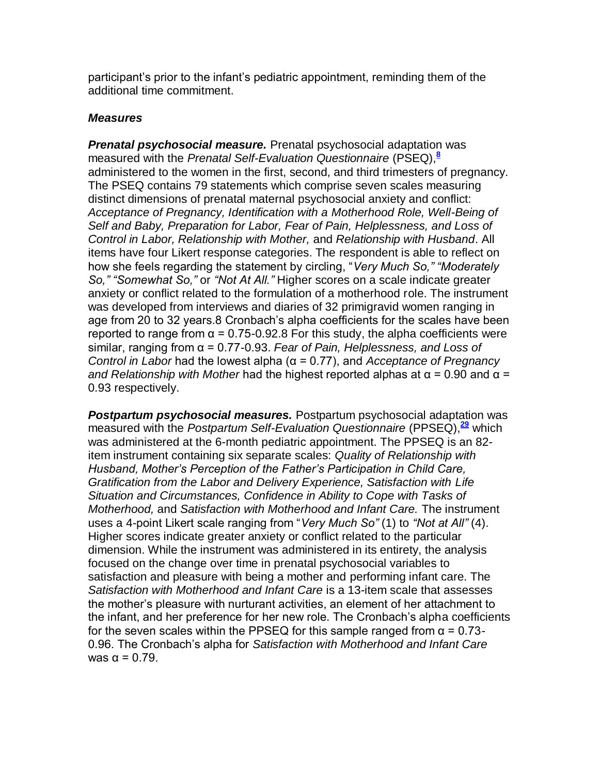participant's prior to the infant's pediatric appointment, reminding them of the additional time commitment.

#### *Measures*

*Prenatal psychosocial measure.* Prenatal psychosocial adaptation was measured with the *Prenatal Self-Evaluation Questionnaire* (PSEQ),**[8](http://snrs.org/publications/SOJNR_articles2/n)** administered to the women in the first, second, and third trimesters of pregnancy. The PSEQ contains 79 statements which comprise seven scales measuring distinct dimensions of prenatal maternal psychosocial anxiety and conflict: *Acceptance of Pregnancy, Identification with a Motherhood Role, Well-Being of Self and Baby, Preparation for Labor, Fear of Pain, Helplessness, and Loss of Control in Labor, Relationship with Mother,* and *Relationship with Husband*. All items have four Likert response categories. The respondent is able to reflect on how she feels regarding the statement by circling, "*Very Much So," "Moderately So," "Somewhat So,"* or *"Not At All."* Higher scores on a scale indicate greater anxiety or conflict related to the formulation of a motherhood role. The instrument was developed from interviews and diaries of 32 primigravid women ranging in age from 20 to 32 years.8 Cronbach's alpha coefficients for the scales have been reported to range from  $\alpha$  = 0.75-0.92.8 For this study, the alpha coefficients were similar, ranging from α = 0.77-0.93. *Fear of Pain, Helplessness, and Loss of Control in Labor* had the lowest alpha (α = 0.77), and *Acceptance of Pregnancy and Relationship with Mother* had the highest reported alphas at α = 0.90 and α = 0.93 respectively.

*Postpartum psychosocial measures.* Postpartum psychosocial adaptation was measured with the *Postpartum Self-Evaluation Questionnaire* (PPSEQ),**[29](http://snrs.org/publications/SOJNR_articles2/n)** which was administered at the 6-month pediatric appointment. The PPSEQ is an 82 item instrument containing six separate scales: *Quality of Relationship with Husband, Mother's Perception of the Father's Participation in Child Care, Gratification from the Labor and Delivery Experience, Satisfaction with Life Situation and Circumstances, Confidence in Ability to Cope with Tasks of Motherhood,* and *Satisfaction with Motherhood and Infant Care.* The instrument uses a 4-point Likert scale ranging from "*Very Much So"* (1) to *"Not at All"* (4). Higher scores indicate greater anxiety or conflict related to the particular dimension. While the instrument was administered in its entirety, the analysis focused on the change over time in prenatal psychosocial variables to satisfaction and pleasure with being a mother and performing infant care. The *Satisfaction with Motherhood and Infant Care* is a 13-item scale that assesses the mother's pleasure with nurturant activities, an element of her attachment to the infant, and her preference for her new role. The Cronbach's alpha coefficients for the seven scales within the PPSEQ for this sample ranged from  $\alpha = 0.73$ -0.96. The Cronbach's alpha for *Satisfaction with Motherhood and Infant Care*  was  $\alpha = 0.79$ .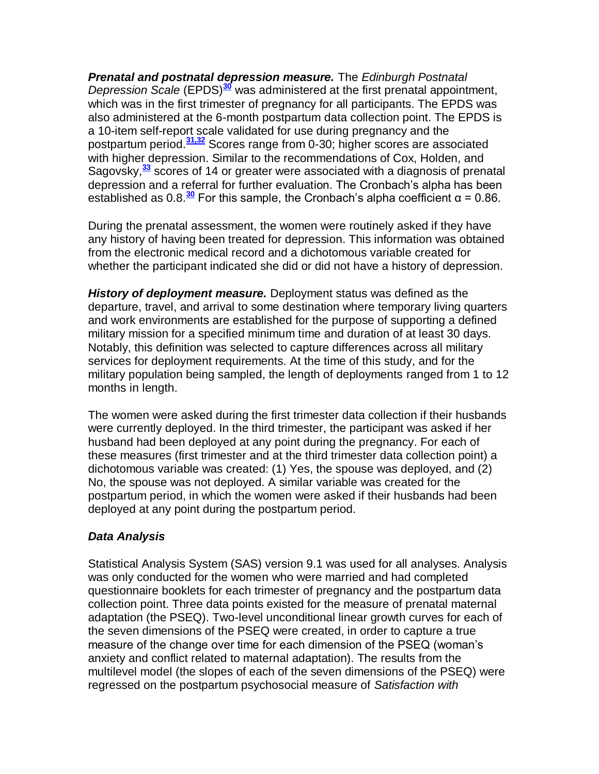*Prenatal and postnatal depression measure.* The *Edinburgh Postnatal Depression Scale* (EPDS)**[30](http://snrs.org/publications/SOJNR_articles2/n)** was administered at the first prenatal appointment, which was in the first trimester of pregnancy for all participants. The EPDS was also administered at the 6-month postpartum data collection point. The EPDS is a 10-item self-report scale validated for use during pregnancy and the postpartum period.**[31,32](http://snrs.org/publications/SOJNR_articles2/n)** Scores range from 0-30; higher scores are associated with higher depression. Similar to the recommendations of Cox, Holden, and Sagovsky,**[33](http://snrs.org/publications/SOJNR_articles2/n)** scores of 14 or greater were associated with a diagnosis of prenatal depression and a referral for further evaluation. The Cronbach's alpha has been established as  $0.8 \frac{30}{10}$  $0.8 \frac{30}{10}$  $0.8 \frac{30}{10}$  For this sample, the Cronbach's alpha coefficient  $\alpha = 0.86$ .

During the prenatal assessment, the women were routinely asked if they have any history of having been treated for depression. This information was obtained from the electronic medical record and a dichotomous variable created for whether the participant indicated she did or did not have a history of depression.

*History of deployment measure.* Deployment status was defined as the departure, travel, and arrival to some destination where temporary living quarters and work environments are established for the purpose of supporting a defined military mission for a specified minimum time and duration of at least 30 days. Notably, this definition was selected to capture differences across all military services for deployment requirements. At the time of this study, and for the military population being sampled, the length of deployments ranged from 1 to 12 months in length.

The women were asked during the first trimester data collection if their husbands were currently deployed. In the third trimester, the participant was asked if her husband had been deployed at any point during the pregnancy. For each of these measures (first trimester and at the third trimester data collection point) a dichotomous variable was created: (1) Yes, the spouse was deployed, and (2) No, the spouse was not deployed. A similar variable was created for the postpartum period, in which the women were asked if their husbands had been deployed at any point during the postpartum period.

### *Data Analysis*

Statistical Analysis System (SAS) version 9.1 was used for all analyses. Analysis was only conducted for the women who were married and had completed questionnaire booklets for each trimester of pregnancy and the postpartum data collection point. Three data points existed for the measure of prenatal maternal adaptation (the PSEQ). Two-level unconditional linear growth curves for each of the seven dimensions of the PSEQ were created, in order to capture a true measure of the change over time for each dimension of the PSEQ (woman's anxiety and conflict related to maternal adaptation). The results from the multilevel model (the slopes of each of the seven dimensions of the PSEQ) were regressed on the postpartum psychosocial measure of *Satisfaction with*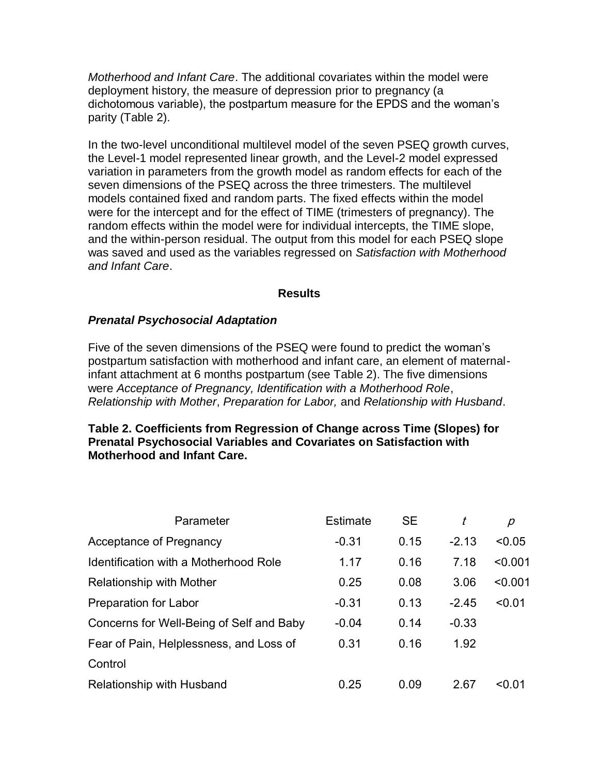*Motherhood and Infant Care*. The additional covariates within the model were deployment history, the measure of depression prior to pregnancy (a dichotomous variable), the postpartum measure for the EPDS and the woman's parity (Table 2).

In the two-level unconditional multilevel model of the seven PSEQ growth curves, the Level-1 model represented linear growth, and the Level-2 model expressed variation in parameters from the growth model as random effects for each of the seven dimensions of the PSEQ across the three trimesters. The multilevel models contained fixed and random parts. The fixed effects within the model were for the intercept and for the effect of TIME (trimesters of pregnancy). The random effects within the model were for individual intercepts, the TIME slope, and the within-person residual. The output from this model for each PSEQ slope was saved and used as the variables regressed on *Satisfaction with Motherhood and Infant Care*.

#### **Results**

### *Prenatal Psychosocial Adaptation*

Five of the seven dimensions of the PSEQ were found to predict the woman's postpartum satisfaction with motherhood and infant care, an element of maternalinfant attachment at 6 months postpartum (see Table 2). The five dimensions were *Acceptance of Pregnancy, Identification with a Motherhood Role*, *Relationship with Mother*, *Preparation for Labor,* and *Relationship with Husband*.

### **Table 2. Coefficients from Regression of Change across Time (Slopes) for Prenatal Psychosocial Variables and Covariates on Satisfaction with Motherhood and Infant Care.**

| Parameter                                | <b>Estimate</b> | <b>SE</b> |         | р        |
|------------------------------------------|-----------------|-----------|---------|----------|
| <b>Acceptance of Pregnancy</b>           | $-0.31$         | 0.15      | $-2.13$ | < 0.05   |
| Identification with a Motherhood Role    | 1.17            | 0.16      | 7.18    | < 0.001  |
| <b>Relationship with Mother</b>          | 0.25            | 0.08      | 3.06    | < 0.001  |
| Preparation for Labor                    | $-0.31$         | 0.13      | $-2.45$ | < 0.01   |
| Concerns for Well-Being of Self and Baby | $-0.04$         | 0.14      | $-0.33$ |          |
| Fear of Pain, Helplessness, and Loss of  | 0.31            | 0.16      | 1.92    |          |
| Control                                  |                 |           |         |          |
| Relationship with Husband                | 0.25            | 0.09      | 2.67    | $<$ 0.01 |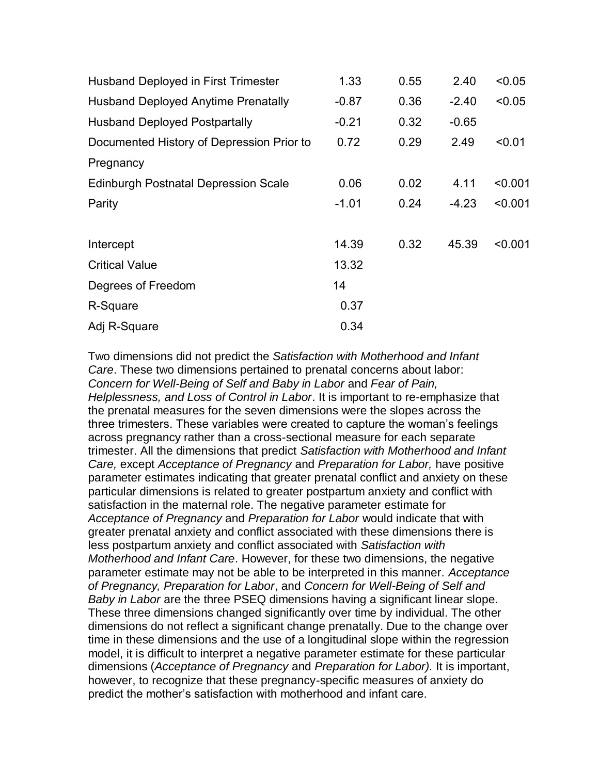| <b>Husband Deployed in First Trimester</b>  | 1.33    | 0.55 | 2.40    | < 0.05  |
|---------------------------------------------|---------|------|---------|---------|
| <b>Husband Deployed Anytime Prenatally</b>  | $-0.87$ | 0.36 | $-2.40$ | < 0.05  |
| <b>Husband Deployed Postpartally</b>        | $-0.21$ | 0.32 | $-0.65$ |         |
| Documented History of Depression Prior to   | 0.72    | 0.29 | 2.49    | < 0.01  |
| Pregnancy                                   |         |      |         |         |
| <b>Edinburgh Postnatal Depression Scale</b> | 0.06    | 0.02 | 4.11    | < 0.001 |
| Parity                                      | $-1.01$ | 0.24 | $-4.23$ | < 0.001 |
|                                             |         |      |         |         |
| Intercept                                   | 14.39   | 0.32 | 45.39   | < 0.001 |
| <b>Critical Value</b>                       | 13.32   |      |         |         |
| Degrees of Freedom                          | 14      |      |         |         |
| R-Square                                    | 0.37    |      |         |         |
| Adj R-Square                                | 0.34    |      |         |         |
|                                             |         |      |         |         |

Two dimensions did not predict the *Satisfaction with Motherhood and Infant Care*. These two dimensions pertained to prenatal concerns about labor: *Concern for Well-Being of Self and Baby in Labor* and *Fear of Pain, Helplessness, and Loss of Control in Labor*. It is important to re-emphasize that the prenatal measures for the seven dimensions were the slopes across the three trimesters. These variables were created to capture the woman's feelings across pregnancy rather than a cross-sectional measure for each separate trimester. All the dimensions that predict *Satisfaction with Motherhood and Infant Care,* except *Acceptance of Pregnancy* and *Preparation for Labor,* have positive parameter estimates indicating that greater prenatal conflict and anxiety on these particular dimensions is related to greater postpartum anxiety and conflict with satisfaction in the maternal role. The negative parameter estimate for *Acceptance of Pregnancy* and *Preparation for Labor* would indicate that with greater prenatal anxiety and conflict associated with these dimensions there is less postpartum anxiety and conflict associated with *Satisfaction with Motherhood and Infant Care*. However, for these two dimensions, the negative parameter estimate may not be able to be interpreted in this manner. *Acceptance of Pregnancy, Preparation for Labor*, and *Concern for Well-Being of Self and Baby in Labor* are the three PSEQ dimensions having a significant linear slope. These three dimensions changed significantly over time by individual. The other dimensions do not reflect a significant change prenatally. Due to the change over time in these dimensions and the use of a longitudinal slope within the regression model, it is difficult to interpret a negative parameter estimate for these particular dimensions (*Acceptance of Pregnancy* and *Preparation for Labor).* It is important, however, to recognize that these pregnancy-specific measures of anxiety do predict the mother's satisfaction with motherhood and infant care.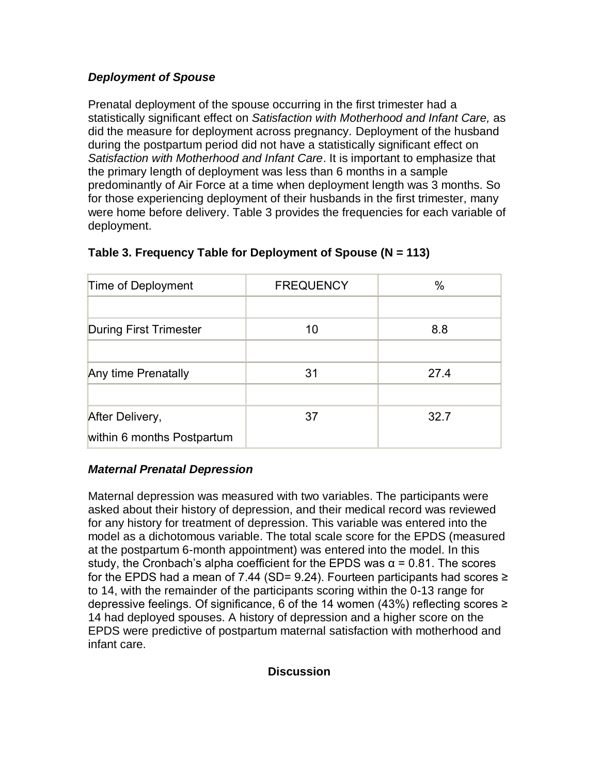## *Deployment of Spouse*

Prenatal deployment of the spouse occurring in the first trimester had a statistically significant effect on *Satisfaction with Motherhood and Infant Care,* as did the measure for deployment across pregnancy*.* Deployment of the husband during the postpartum period did not have a statistically significant effect on *Satisfaction with Motherhood and Infant Care*. It is important to emphasize that the primary length of deployment was less than 6 months in a sample predominantly of Air Force at a time when deployment length was 3 months. So for those experiencing deployment of their husbands in the first trimester, many were home before delivery. Table 3 provides the frequencies for each variable of deployment.

| Time of Deployment            | <b>FREQUENCY</b> | $\%$ |
|-------------------------------|------------------|------|
|                               |                  |      |
| <b>During First Trimester</b> | 10               | 8.8  |
|                               |                  |      |
| Any time Prenatally           | 31               | 27.4 |
|                               |                  |      |
| After Delivery,               | 37               | 32.7 |
| within 6 months Postpartum    |                  |      |

# **Table 3. Frequency Table for Deployment of Spouse (N = 113)**

## *Maternal Prenatal Depression*

Maternal depression was measured with two variables. The participants were asked about their history of depression, and their medical record was reviewed for any history for treatment of depression. This variable was entered into the model as a dichotomous variable. The total scale score for the EPDS (measured at the postpartum 6-month appointment) was entered into the model. In this study, the Cronbach's alpha coefficient for the EPDS was  $\alpha$  = 0.81. The scores for the EPDS had a mean of 7.44 (SD= 9.24). Fourteen participants had scores  $≥$ to 14, with the remainder of the participants scoring within the 0-13 range for depressive feelings. Of significance, 6 of the 14 women (43%) reflecting scores ≥ 14 had deployed spouses. A history of depression and a higher score on the EPDS were predictive of postpartum maternal satisfaction with motherhood and infant care.

### **Discussion**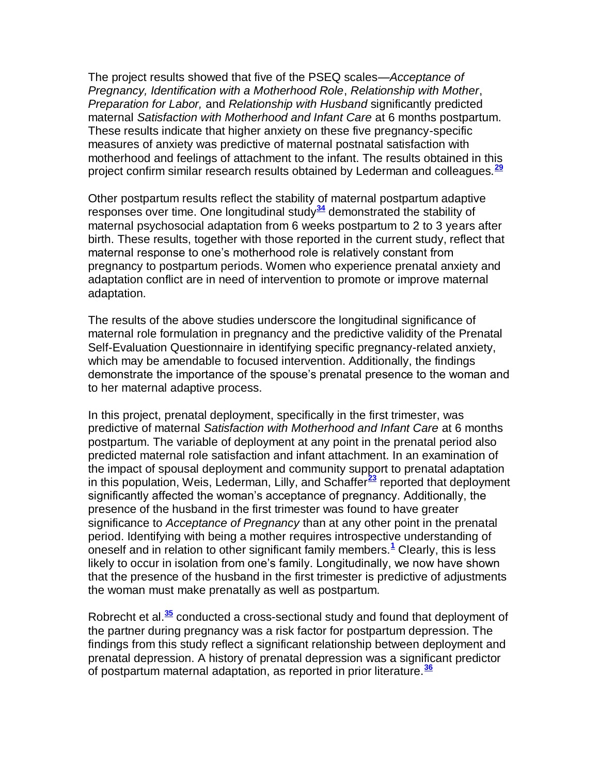The project results showed that five of the PSEQ scales—*Acceptance of Pregnancy, Identification with a Motherhood Role*, *Relationship with Mother*, *Preparation for Labor,* and *Relationship with Husband* significantly predicted maternal *Satisfaction with Motherhood and Infant Care* at 6 months postpartum. These results indicate that higher anxiety on these five pregnancy-specific measures of anxiety was predictive of maternal postnatal satisfaction with motherhood and feelings of attachment to the infant. The results obtained in this project confirm similar research results obtained by Lederman and colleagues.**[29](http://snrs.org/publications/SOJNR_articles2/n)**

Other postpartum results reflect the stability of maternal postpartum adaptive responses over time. One longitudinal study**[34](http://snrs.org/publications/SOJNR_articles2/n)** demonstrated the stability of maternal psychosocial adaptation from 6 weeks postpartum to 2 to 3 years after birth. These results, together with those reported in the current study, reflect that maternal response to one's motherhood role is relatively constant from pregnancy to postpartum periods. Women who experience prenatal anxiety and adaptation conflict are in need of intervention to promote or improve maternal adaptation.

The results of the above studies underscore the longitudinal significance of maternal role formulation in pregnancy and the predictive validity of the Prenatal Self-Evaluation Questionnaire in identifying specific pregnancy-related anxiety, which may be amendable to focused intervention. Additionally, the findings demonstrate the importance of the spouse's prenatal presence to the woman and to her maternal adaptive process.

In this project, prenatal deployment, specifically in the first trimester, was predictive of maternal *Satisfaction with Motherhood and Infant Care* at 6 months postpartum. The variable of deployment at any point in the prenatal period also predicted maternal role satisfaction and infant attachment. In an examination of the impact of spousal deployment and community support to prenatal adaptation in this population, Weis, Lederman, Lilly, and Schaffer**[23](http://snrs.org/publications/SOJNR_articles2/n)** reported that deployment significantly affected the woman's acceptance of pregnancy. Additionally, the presence of the husband in the first trimester was found to have greater significance to *Acceptance of Pregnancy* than at any other point in the prenatal period. Identifying with being a mother requires introspective understanding of oneself and in relation to other significant family members.**[1](http://snrs.org/publications/SOJNR_articles2/n)** Clearly, this is less likely to occur in isolation from one's family. Longitudinally, we now have shown that the presence of the husband in the first trimester is predictive of adjustments the woman must make prenatally as well as postpartum.

Robrecht et al.**[35](http://snrs.org/publications/SOJNR_articles2/n)** conducted a cross-sectional study and found that deployment of the partner during pregnancy was a risk factor for postpartum depression. The findings from this study reflect a significant relationship between deployment and prenatal depression. A history of prenatal depression was a significant predictor of postpartum maternal adaptation, as reported in prior literature.**[36](http://snrs.org/publications/SOJNR_articles2/n)**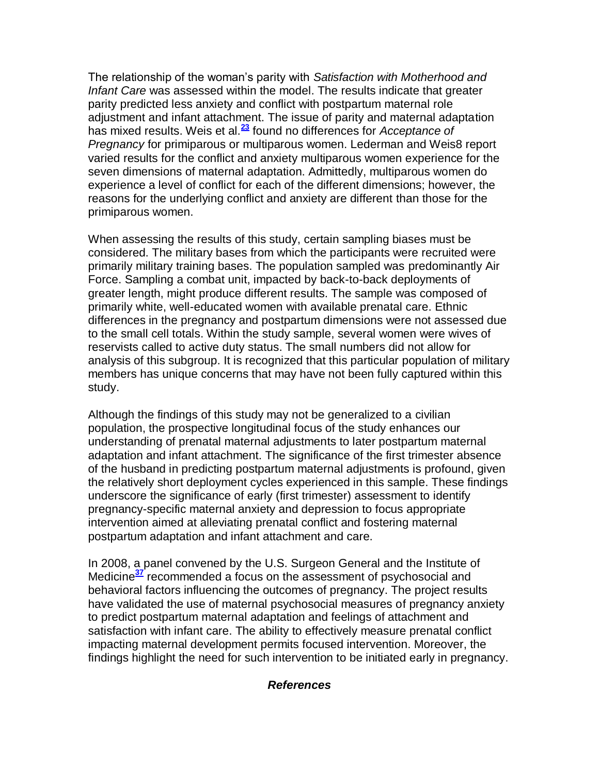The relationship of the woman's parity with *Satisfaction with Motherhood and Infant Care* was assessed within the model. The results indicate that greater parity predicted less anxiety and conflict with postpartum maternal role adjustment and infant attachment. The issue of parity and maternal adaptation has mixed results. Weis et al.**[23](http://snrs.org/publications/SOJNR_articles2/n)** found no differences for *Acceptance of Pregnancy* for primiparous or multiparous women. Lederman and Weis8 report varied results for the conflict and anxiety multiparous women experience for the seven dimensions of maternal adaptation. Admittedly, multiparous women do experience a level of conflict for each of the different dimensions; however, the reasons for the underlying conflict and anxiety are different than those for the primiparous women.

When assessing the results of this study, certain sampling biases must be considered. The military bases from which the participants were recruited were primarily military training bases. The population sampled was predominantly Air Force. Sampling a combat unit, impacted by back-to-back deployments of greater length, might produce different results. The sample was composed of primarily white, well-educated women with available prenatal care. Ethnic differences in the pregnancy and postpartum dimensions were not assessed due to the small cell totals. Within the study sample, several women were wives of reservists called to active duty status. The small numbers did not allow for analysis of this subgroup. It is recognized that this particular population of military members has unique concerns that may have not been fully captured within this study.

Although the findings of this study may not be generalized to a civilian population, the prospective longitudinal focus of the study enhances our understanding of prenatal maternal adjustments to later postpartum maternal adaptation and infant attachment. The significance of the first trimester absence of the husband in predicting postpartum maternal adjustments is profound, given the relatively short deployment cycles experienced in this sample. These findings underscore the significance of early (first trimester) assessment to identify pregnancy-specific maternal anxiety and depression to focus appropriate intervention aimed at alleviating prenatal conflict and fostering maternal postpartum adaptation and infant attachment and care.

In 2008, a panel convened by the U.S. Surgeon General and the Institute of Medicine**[37](http://snrs.org/publications/SOJNR_articles2/n)** recommended a focus on the assessment of psychosocial and behavioral factors influencing the outcomes of pregnancy. The project results have validated the use of maternal psychosocial measures of pregnancy anxiety to predict postpartum maternal adaptation and feelings of attachment and satisfaction with infant care. The ability to effectively measure prenatal conflict impacting maternal development permits focused intervention. Moreover, the findings highlight the need for such intervention to be initiated early in pregnancy.

#### *References*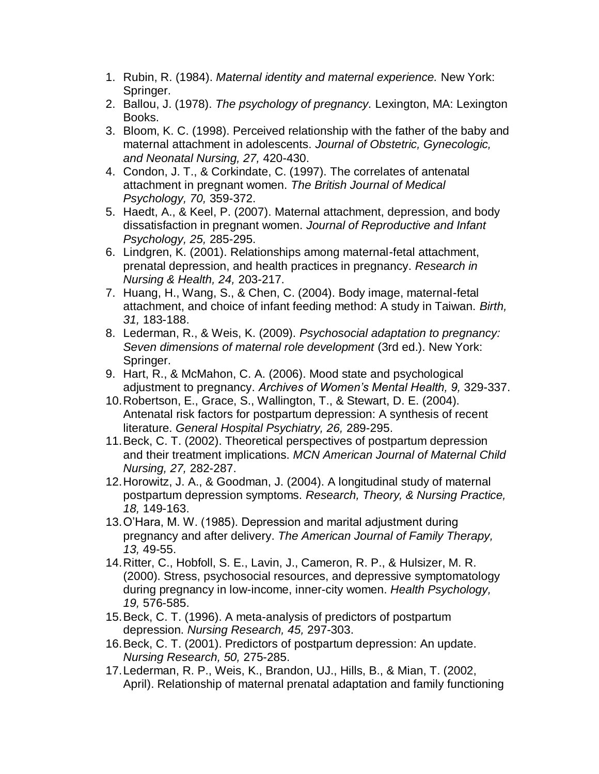- 1. Rubin, R. (1984). *Maternal identity and maternal experience.* New York: Springer.
- 2. Ballou, J. (1978). *The psychology of pregnancy.* Lexington, MA: Lexington Books.
- 3. Bloom, K. C. (1998). Perceived relationship with the father of the baby and maternal attachment in adolescents. *Journal of Obstetric, Gynecologic, and Neonatal Nursing, 27,* 420-430.
- 4. Condon, J. T., & Corkindate, C. (1997). The correlates of antenatal attachment in pregnant women. *The British Journal of Medical Psychology, 70,* 359-372.
- 5. Haedt, A., & Keel, P. (2007). Maternal attachment, depression, and body dissatisfaction in pregnant women. *Journal of Reproductive and Infant Psychology, 25,* 285-295.
- 6. Lindgren, K. (2001). Relationships among maternal-fetal attachment, prenatal depression, and health practices in pregnancy. *Research in Nursing & Health, 24,* 203-217.
- 7. Huang, H., Wang, S., & Chen, C. (2004). Body image, maternal-fetal attachment, and choice of infant feeding method: A study in Taiwan. *Birth, 31,* 183-188.
- 8. Lederman, R., & Weis, K. (2009). *Psychosocial adaptation to pregnancy: Seven dimensions of maternal role development* (3rd ed.). New York: Springer.
- 9. Hart, R., & McMahon, C. A. (2006). Mood state and psychological adjustment to pregnancy. *Archives of Women's Mental Health, 9,* 329-337.
- 10.Robertson, E., Grace, S., Wallington, T., & Stewart, D. E. (2004). Antenatal risk factors for postpartum depression: A synthesis of recent literature. *General Hospital Psychiatry, 26,* 289-295.
- 11.Beck, C. T. (2002). Theoretical perspectives of postpartum depression and their treatment implications. *MCN American Journal of Maternal Child Nursing, 27,* 282-287.
- 12.Horowitz, J. A., & Goodman, J. (2004). A longitudinal study of maternal postpartum depression symptoms. *Research, Theory, & Nursing Practice, 18,* 149-163.
- 13.O'Hara, M. W. (1985). Depression and marital adjustment during pregnancy and after delivery. *The American Journal of Family Therapy, 13,* 49-55.
- 14.Ritter, C., Hobfoll, S. E., Lavin, J., Cameron, R. P., & Hulsizer, M. R. (2000). Stress, psychosocial resources, and depressive symptomatology during pregnancy in low-income, inner-city women. *Health Psychology, 19,* 576-585.
- 15.Beck, C. T. (1996). A meta-analysis of predictors of postpartum depression. *Nursing Research, 45,* 297-303.
- 16.Beck, C. T. (2001). Predictors of postpartum depression: An update. *Nursing Research, 50,* 275-285.
- 17.Lederman, R. P., Weis, K., Brandon, UJ., Hills, B., & Mian, T. (2002, April). Relationship of maternal prenatal adaptation and family functioning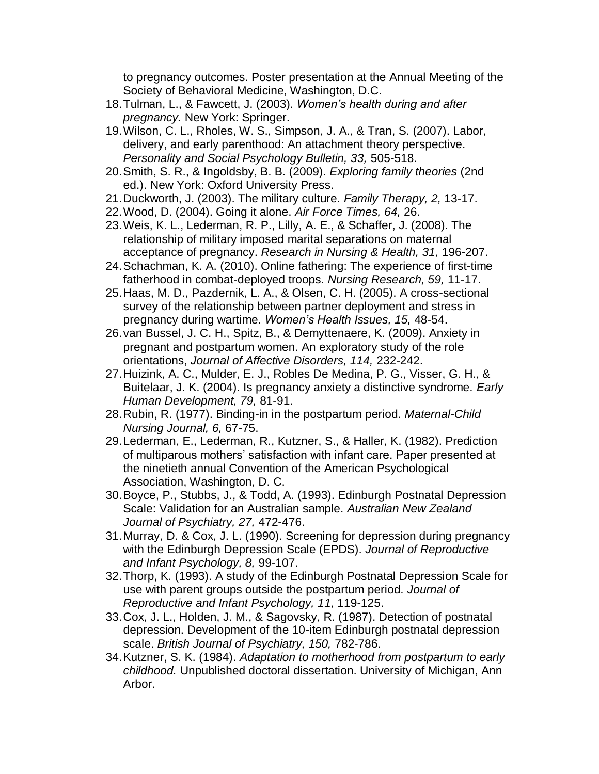to pregnancy outcomes. Poster presentation at the Annual Meeting of the Society of Behavioral Medicine, Washington, D.C.

- 18.Tulman, L., & Fawcett, J. (2003). *Women's health during and after pregnancy.* New York: Springer.
- 19.Wilson, C. L., Rholes, W. S., Simpson, J. A., & Tran, S. (2007). Labor, delivery, and early parenthood: An attachment theory perspective. *Personality and Social Psychology Bulletin, 33,* 505-518.
- 20.Smith, S. R., & Ingoldsby, B. B. (2009). *Exploring family theories* (2nd ed.). New York: Oxford University Press.
- 21.Duckworth, J. (2003). The military culture. *Family Therapy, 2,* 13-17.
- 22.Wood, D. (2004). Going it alone. *Air Force Times, 64,* 26.
- 23.Weis, K. L., Lederman, R. P., Lilly, A. E., & Schaffer, J. (2008). The relationship of military imposed marital separations on maternal acceptance of pregnancy. *Research in Nursing & Health, 31,* 196-207.
- 24.Schachman, K. A. (2010). Online fathering: The experience of first-time fatherhood in combat-deployed troops. *Nursing Research, 59,* 11-17.
- 25.Haas, M. D., Pazdernik, L. A., & Olsen, C. H. (2005). A cross-sectional survey of the relationship between partner deployment and stress in pregnancy during wartime. *Women's Health Issues, 15,* 48-54.
- 26.van Bussel, J. C. H., Spitz, B., & Demyttenaere, K. (2009). Anxiety in pregnant and postpartum women. An exploratory study of the role orientations, *Journal of Affective Disorders, 114,* 232-242.
- 27.Huizink, A. C., Mulder, E. J., Robles De Medina, P. G., Visser, G. H., & Buitelaar, J. K. (2004). Is pregnancy anxiety a distinctive syndrome. *Early Human Development, 79,* 81-91.
- 28.Rubin, R. (1977). Binding-in in the postpartum period. *Maternal-Child Nursing Journal, 6,* 67-75.
- 29.Lederman, E., Lederman, R., Kutzner, S., & Haller, K. (1982). Prediction of multiparous mothers' satisfaction with infant care. Paper presented at the ninetieth annual Convention of the American Psychological Association, Washington, D. C.
- 30.Boyce, P., Stubbs, J., & Todd, A. (1993). Edinburgh Postnatal Depression Scale: Validation for an Australian sample. *Australian New Zealand Journal of Psychiatry, 27,* 472-476.
- 31.Murray, D. & Cox, J. L. (1990). Screening for depression during pregnancy with the Edinburgh Depression Scale (EPDS). *Journal of Reproductive and Infant Psychology, 8,* 99-107.
- 32.Thorp, K. (1993). A study of the Edinburgh Postnatal Depression Scale for use with parent groups outside the postpartum period. *Journal of Reproductive and Infant Psychology, 11,* 119-125.
- 33.Cox, J. L., Holden, J. M., & Sagovsky, R. (1987). Detection of postnatal depression. Development of the 10-item Edinburgh postnatal depression scale. *British Journal of Psychiatry, 150,* 782-786.
- 34.Kutzner, S. K. (1984). *Adaptation to motherhood from postpartum to early childhood.* Unpublished doctoral dissertation. University of Michigan, Ann Arbor.